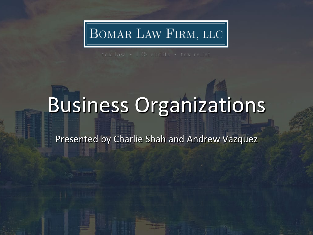# $\vert$ BOMAR LAW FIRM, LLC $\vert$

# Business Organizations

Presented by Charlie Shah and Andrew Vazquez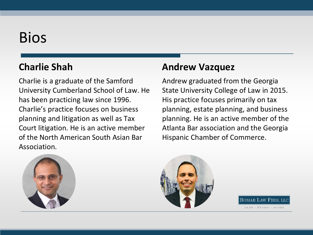### Bios

#### **Charlie Shah**

Charlie is a graduate of the Samford University Cumberland School of Law. He has been practicing law since 1996. Charlie's practice focuses on business planning and litigation as well as Tax Court litigation. He is an active member of the North American South Asian Bar Association.

#### **Andrew Vazquez**

Andrew graduated from the Georgia State University College of Law in 2015. His practice focuses primarily on tax planning, estate planning, and business planning. He is an active member of the Atlanta Bar association and the Georgia Hispanic Chamber of Commerce.





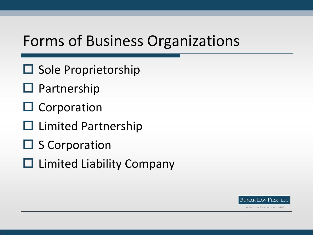### Forms of Business Organizations

- $\square$  Sole Proprietorship
- $\square$  Partnership
- $\square$  Corporation
- $\square$  Limited Partnership
- $\square$  S Corporation
- $\Box$  Limited Liability Company

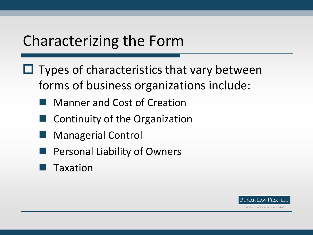- $\Box$  Types of characteristics that vary between forms of business organizations include:
	- Manner and Cost of Creation
	- Continuity of the Organization
	- Managerial Control
	- Personal Liability of Owners
	- Taxation

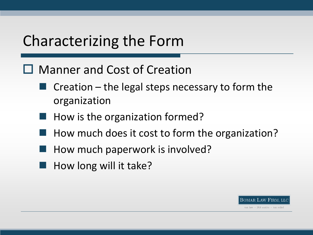#### □ Manner and Cost of Creation

- $\blacksquare$  Creation the legal steps necessary to form the organization
- How is the organization formed?
- How much does it cost to form the organization?
- How much paperwork is involved?
- How long will it take?

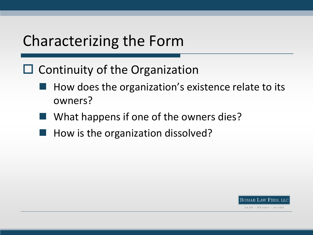- $\Box$  Continuity of the Organization
	- $\blacksquare$  How does the organization's existence relate to its owners?
	- What happens if one of the owners dies?
	- How is the organization dissolved?

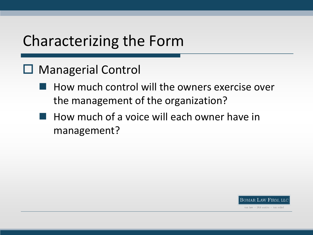#### □ Managerial Control

- How much control will the owners exercise over the management of the organization?
- **How much of a voice will each owner have in** management?

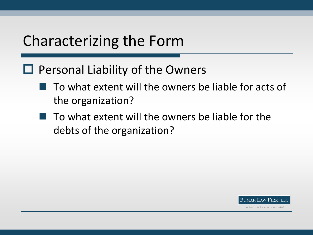#### $\Box$  Personal Liability of the Owners

- $\blacksquare$  To what extent will the owners be liable for acts of the organization?
- $\blacksquare$  To what extent will the owners be liable for the debts of the organization?

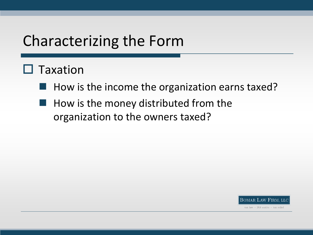#### $\Box$  Taxation

- $\blacksquare$  How is the income the organization earns taxed?
- How is the money distributed from the organization to the owners taxed?

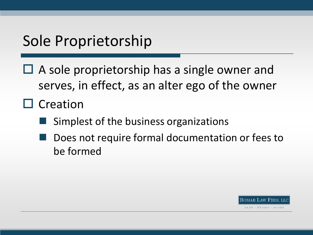$\Box$  A sole proprietorship has a single owner and serves, in effect, as an alter ego of the owner

 $\square$  Creation

- Simplest of the business organizations
- Does not require formal documentation or fees to be formed

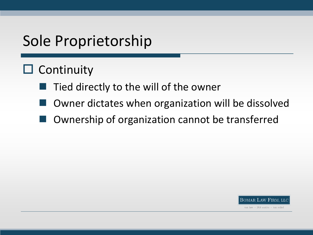### $\Box$  Continuity

- Tied directly to the will of the owner
- Owner dictates when organization will be dissolved
- Ownership of organization cannot be transferred

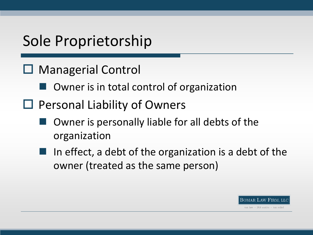- □ Managerial Control
	- Owner is in total control of organization
- $\Box$  Personal Liability of Owners
	- Owner is personally liable for all debts of the organization
	- In effect, a debt of the organization is a debt of the owner (treated as the same person)

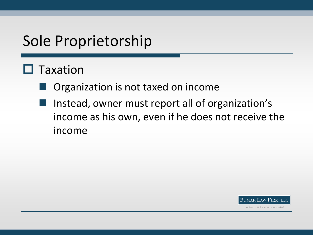### $\Box$  Taxation

- Organization is not taxed on income
- Instead, owner must report all of organization's income as his own, even if he does not receive the income

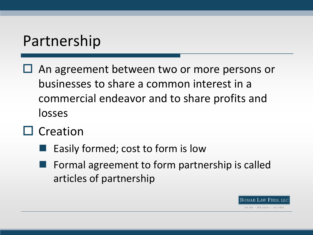- An agreement between two or more persons or businesses to share a common interest in a commercial endeavor and to share profits and losses
- $\square$  Creation
	- Easily formed; cost to form is low
	- Formal agreement to form partnership is called articles of partnership

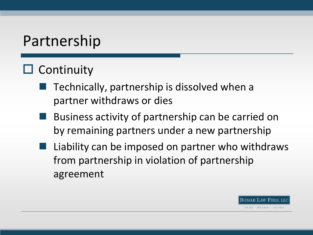### $\square$  Continuity

- Technically, partnership is dissolved when a partner withdraws or dies
- Business activity of partnership can be carried on by remaining partners under a new partnership
- Liability can be imposed on partner who withdraws from partnership in violation of partnership agreement

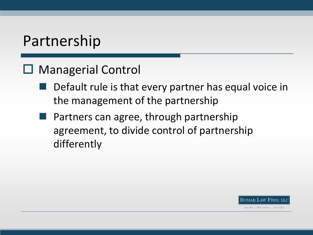#### □ Managerial Control

- Default rule is that every partner has equal voice in the management of the partnership
- Partners can agree, through partnership agreement, to divide control of partnership differently

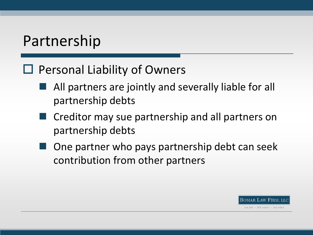#### $\Box$  Personal Liability of Owners

- All partners are jointly and severally liable for all partnership debts
- Creditor may sue partnership and all partners on partnership debts
- One partner who pays partnership debt can seek contribution from other partners

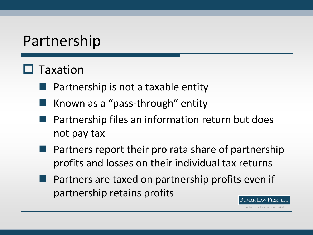### $\Box$  Taxation

- Partnership is not a taxable entity
- Known as a "pass-through" entity
- Partnership files an information return but does not pay tax
- Partners report their pro rata share of partnership profits and losses on their individual tax returns
- Partners are taxed on partnership profits even if partnership retains profits

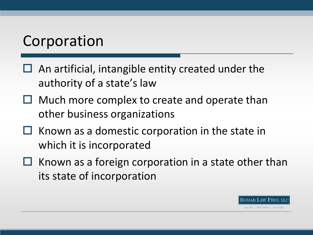- $\Box$  An artificial, intangible entity created under the authority of a state's law
- $\Box$  Much more complex to create and operate than other business organizations
- $\Box$  Known as a domestic corporation in the state in which it is incorporated
- $\Box$  Known as a foreign corporation in a state other than its state of incorporation

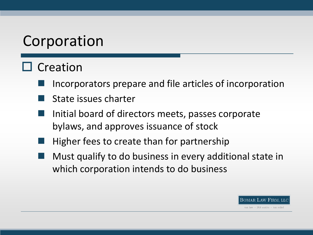### $\square$  Creation

- Incorporators prepare and file articles of incorporation
- State issues charter
- Initial board of directors meets, passes corporate bylaws, and approves issuance of stock
- Higher fees to create than for partnership
- Must qualify to do business in every additional state in which corporation intends to do business

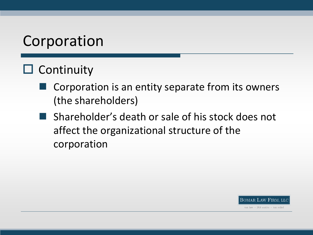### $\Box$  Continuity

- Corporation is an entity separate from its owners (the shareholders)
- **Shareholder's death or sale of his stock does not** affect the organizational structure of the corporation

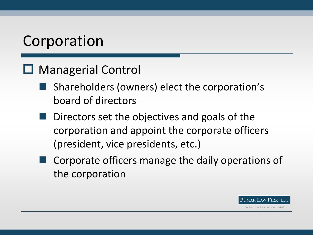#### □ Managerial Control

- Shareholders (owners) elect the corporation's board of directors
- Directors set the objectives and goals of the corporation and appoint the corporate officers (president, vice presidents, etc.)
- Corporate officers manage the daily operations of the corporation

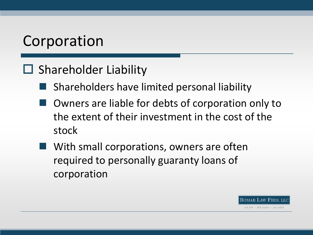### $\Box$  Shareholder Liability

- **Shareholders have limited personal liability**
- Owners are liable for debts of corporation only to the extent of their investment in the cost of the stock
- With small corporations, owners are often required to personally guaranty loans of corporation

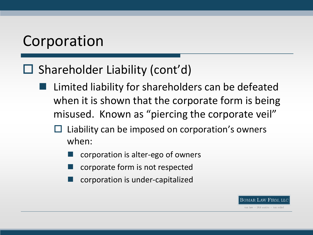### $\Box$  Shareholder Liability (cont'd)

- Limited liability for shareholders can be defeated when it is shown that the corporate form is being misused. Known as "piercing the corporate veil"
	- Liability can be imposed on corporation's owners when:
		- corporation is alter-ego of owners
		- corporate form is not respected
		- corporation is under-capitalized

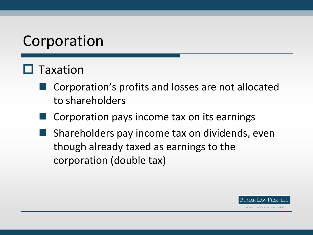### $\square$  Taxation

- Corporation's profits and losses are not allocated to shareholders
- Corporation pays income tax on its earnings
- Shareholders pay income tax on dividends, even though already taxed as earnings to the corporation (double tax)

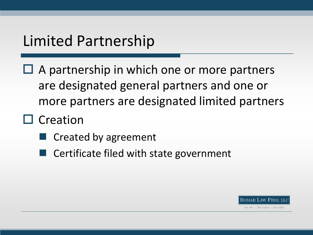### Limited Partnership

- $\Box$  A partnership in which one or more partners are designated general partners and one or more partners are designated limited partners
- $\Box$  Creation
	- Created by agreement
	- Certificate filed with state government

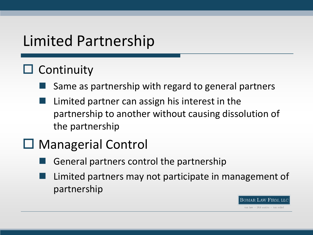# Limited Partnership

### $\square$  Continuity

- Same as partnership with regard to general partners
- Limited partner can assign his interest in the partnership to another without causing dissolution of the partnership

### □ Managerial Control

- General partners control the partnership
- Limited partners may not participate in management of partnership

BOMAR LAW FIRM. LLC tax law + IRS audits + tax relief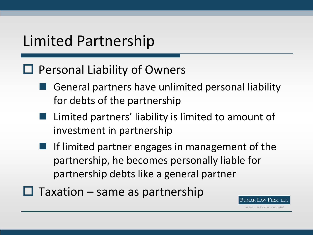### Limited Partnership

#### $\Box$  Personal Liability of Owners

- General partners have unlimited personal liability for debts of the partnership
- $\blacksquare$  Limited partners' liability is limited to amount of investment in partnership
- If limited partner engages in management of the partnership, he becomes personally liable for partnership debts like a general partner
- $\Box$  Taxation same as partnership

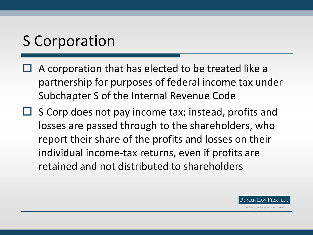- A corporation that has elected to be treated like a partnership for purposes of federal income tax under Subchapter S of the Internal Revenue Code
- $\square$  S Corp does not pay income tax; instead, profits and losses are passed through to the shareholders, who report their share of the profits and losses on their individual income-tax returns, even if profits are retained and not distributed to shareholders

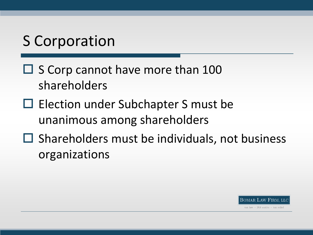- $\square$  S Corp cannot have more than 100 shareholders
- $\Box$  Election under Subchapter S must be unanimous among shareholders
- $\Box$  Shareholders must be individuals, not business organizations

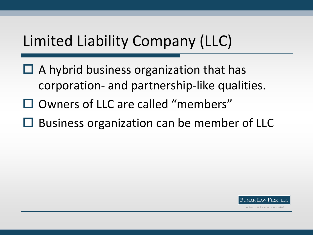- $\Box$  A hybrid business organization that has corporation- and partnership-like qualities.
- $\square$  Owners of LLC are called "members"
- $\Box$  Business organization can be member of LLC

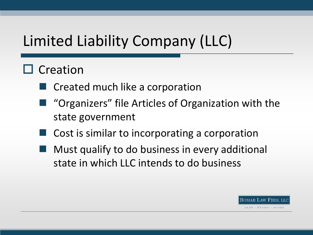### $\square$  Creation

- Created much like a corporation
- "Organizers" file Articles of Organization with the state government
- Cost is similar to incorporating a corporation
- Must qualify to do business in every additional state in which LLC intends to do business

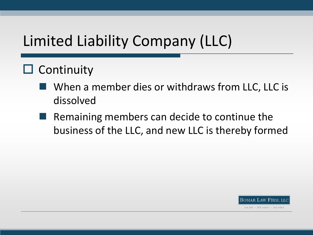### $\square$  Continuity

- When a member dies or withdraws from LLC, LLC is dissolved
- Remaining members can decide to continue the business of the LLC, and new LLC is thereby formed

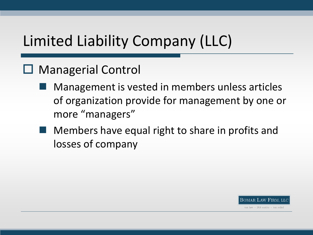#### □ Managerial Control

- Management is vested in members unless articles of organization provide for management by one or more "managers"
- Members have equal right to share in profits and losses of company